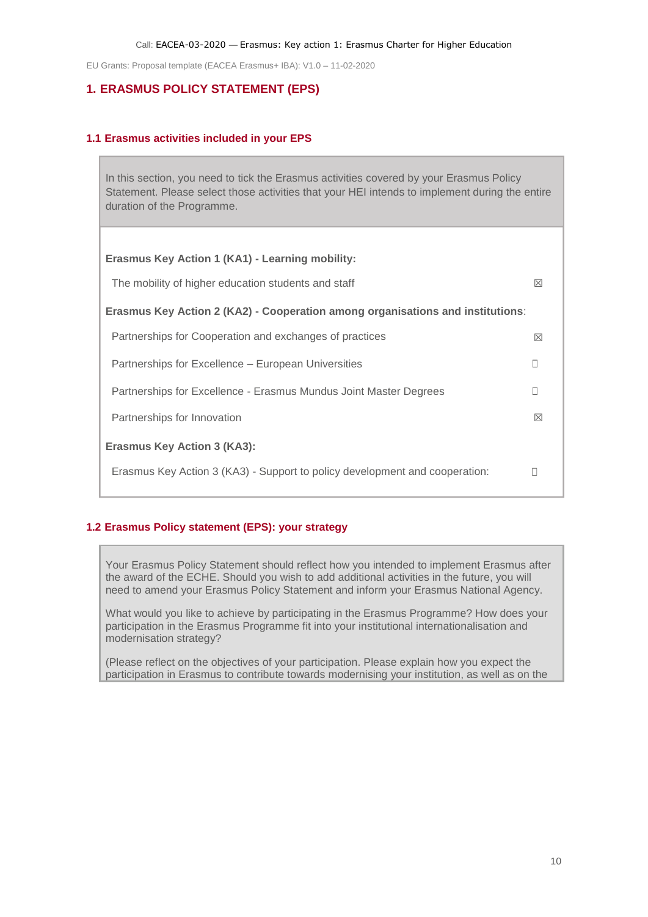# **1. ERASMUS POLICY STATEMENT (EPS)**

#### **1.1 Erasmus activities included in your EPS**

In this section, you need to tick the Erasmus activities covered by your Erasmus Policy Statement. Please select those activities that your HEI intends to implement during the entire duration of the Programme.

| Erasmus Key Action 1 (KA1) - Learning mobility:                                |   |  |
|--------------------------------------------------------------------------------|---|--|
| The mobility of higher education students and staff                            | ⊠ |  |
| Erasmus Key Action 2 (KA2) - Cooperation among organisations and institutions: |   |  |
| Partnerships for Cooperation and exchanges of practices                        | ⊠ |  |
| Partnerships for Excellence – European Universities                            |   |  |
| Partnerships for Excellence - Erasmus Mundus Joint Master Degrees              |   |  |
| Partnerships for Innovation                                                    | ⊠ |  |
| <b>Erasmus Key Action 3 (KA3):</b>                                             |   |  |
| Erasmus Key Action 3 (KA3) - Support to policy development and cooperation:    |   |  |
|                                                                                |   |  |

### **1.2 Erasmus Policy statement (EPS): your strategy**

Your Erasmus Policy Statement should reflect how you intended to implement Erasmus after the award of the ECHE. Should you wish to add additional activities in the future, you will need to amend your Erasmus Policy Statement and inform your Erasmus National Agency.

What would you like to achieve by participating in the Erasmus Programme? How does your participation in the Erasmus Programme fit into your institutional internationalisation and modernisation strategy?

(Please reflect on the objectives of your participation. Please explain how you expect the participation in Erasmus to contribute towards modernising your institution, as well as on the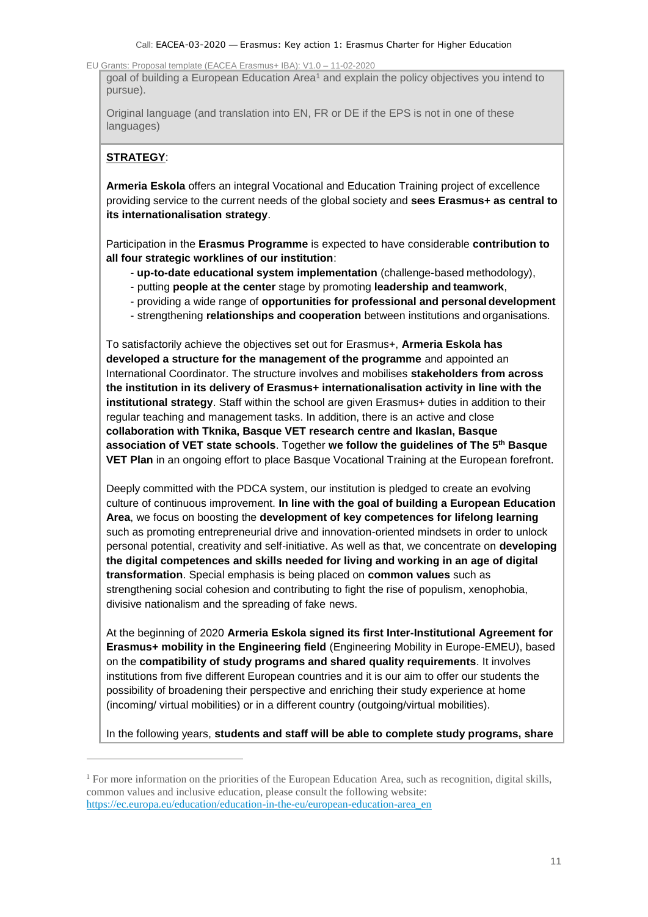go[a](#page-1-0)l of building a European Education Area<sup>1</sup> and explain the policy objectives you intend to pursue).

Original language (and translation into EN, FR or DE if the EPS is not in one of these languages)

# **STRATEGY**:

**Armeria Eskola** offers an integral Vocational and Education Training project of excellence providing service to the current needs of the global society and **sees Erasmus+ as central to its internationalisation strategy**.

Participation in the **Erasmus Programme** is expected to have considerable **contribution to all four strategic worklines of our institution**:

- **up-to-date educational system implementation** (challenge-based methodology),
- putting **people at the center** stage by promoting **leadership and teamwork**,
- providing a wide range of **opportunities for professional and personal development**
- strengthening **relationships and cooperation** between institutions and organisations.

To satisfactorily achieve the objectives set out for Erasmus+, **Armeria Eskola has developed a structure for the management of the programme** and appointed an International Coordinator. The structure involves and mobilises **stakeholders from across the institution in its delivery of Erasmus+ internationalisation activity in line with the institutional strategy**. Staff within the school are given Erasmus+ duties in addition to their regular teaching and management tasks. In addition, there is an active and close **collaboration with Tknika, Basque VET research centre and Ikaslan, Basque association of VET state schools**. Together **we follow the guidelines of The 5th Basque VET Plan** in an ongoing effort to place Basque Vocational Training at the European forefront.

Deeply committed with the PDCA system, our institution is pledged to create an evolving culture of continuous improvement. **In line with the goal of building a European Education Area**, we focus on boosting the **development of key competences for lifelong learning**  such as promoting entrepreneurial drive and innovation-oriented mindsets in order to unlock personal potential, creativity and self-initiative. As well as that, we concentrate on **developing the digital competences and skills needed for living and working in an age of digital transformation**. Special emphasis is being placed on **common values** such as strengthening social cohesion and contributing to fight the rise of populism, xenophobia, divisive nationalism and the spreading of fake news.

At the beginning of 2020 **Armeria Eskola signed its first Inter-Institutional Agreement for Erasmus+ mobility in the Engineering field** (Engineering Mobility in Europe-EMEU), based on the **compatibility of study programs and shared quality requirements**. It involves institutions from five different European countries and it is our aim to offer our students the possibility of broadening their perspective and enriching their study experience at home (incoming/ virtual mobilities) or in a different country (outgoing/virtual mobilities).

In the following years, **students and staff will be able to complete study programs, share**

<span id="page-1-0"></span><sup>&</sup>lt;sup>1</sup> For more information on the priorities of the European Education Area, such as recognition, digital skills, common values and inclusive education, please consult the following website: [https://ec.europa.eu/education/education-in-the-eu/european-education-area\\_en](https://ec.europa.eu/education/education-in-the-eu/european-education-area_en)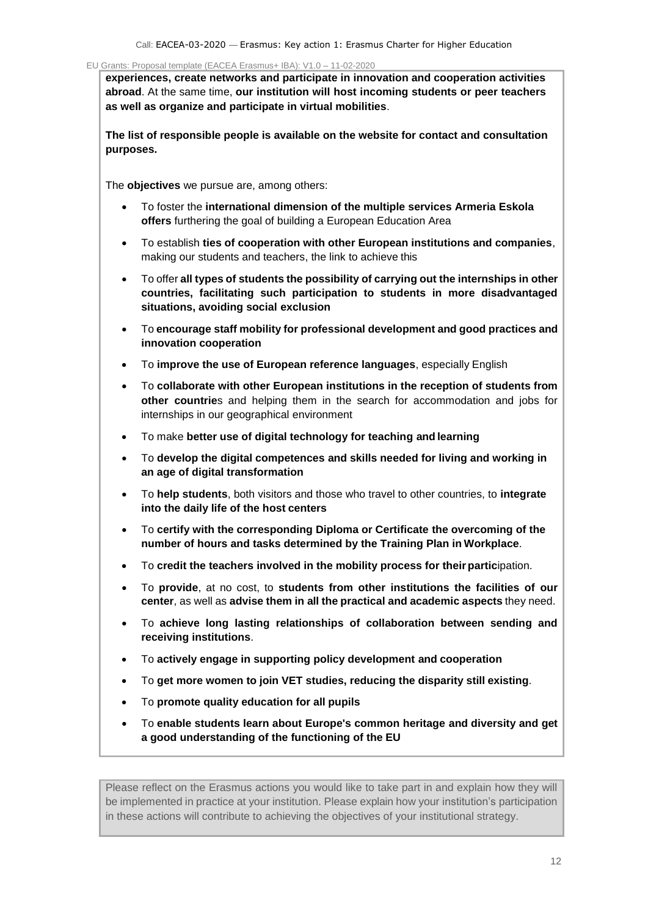**experiences, create networks and participate in innovation and cooperation activities abroad**. At the same time, **our institution will host incoming students or peer teachers as well as organize and participate in virtual mobilities**.

**The list of responsible people is available on the website for contact and consultation purposes.**

The **objectives** we pursue are, among others:

- To foster the **international dimension of the multiple services Armeria Eskola offers** furthering the goal of building a European Education Area
- To establish **ties of cooperation with other European institutions and companies**, making our students and teachers, the link to achieve this
- To offer **all types of students the possibility of carrying out the internships in other countries, facilitating such participation to students in more disadvantaged situations, avoiding social exclusion**
- To **encourage staff mobility for professional development and good practices and innovation cooperation**
- To **improve the use of European reference languages**, especially English
- To **collaborate with other European institutions in the reception of students from other countrie**s and helping them in the search for accommodation and jobs for internships in our geographical environment
- To make **better use of digital technology for teaching and learning**
- To **develop the digital competences and skills needed for living and working in an age of digital transformation**
- To **help students**, both visitors and those who travel to other countries, to **integrate into the daily life of the host centers**
- To **certify with the corresponding Diploma or Certificate the overcoming of the number of hours and tasks determined by the Training Plan in Workplace**.
- To **credit the teachers involved in the mobility process for theirpartic**ipation.
- To **provide**, at no cost, to **students from other institutions the facilities of our center**, as well as **advise them in all the practical and academic aspects** they need.
- To **achieve long lasting relationships of collaboration between sending and receiving institutions**.
- To **actively engage in supporting policy development and cooperation**
- To **get more women to join VET studies, reducing the disparity still existing**.
- To **promote quality education for all pupils**
- To **enable students learn about Europe's common heritage and diversity and get a good understanding of the functioning of the EU**

Please reflect on the Erasmus actions you would like to take part in and explain how they will be implemented in practice at your institution. Please explain how your institution's participation in these actions will contribute to achieving the objectives of your institutional strategy.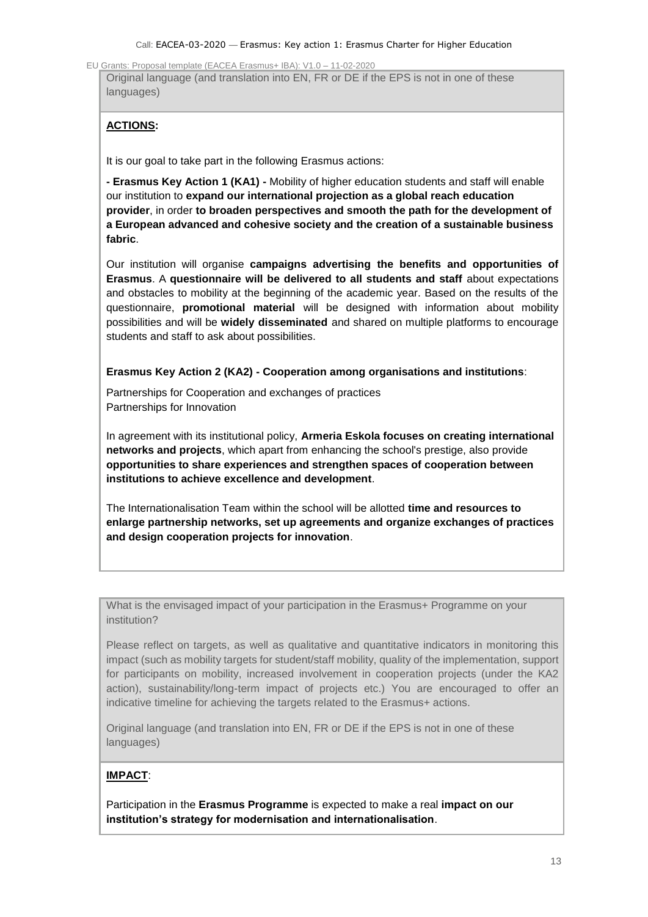Original language (and translation into EN, FR or DE if the EPS is not in one of these languages)

## **ACTIONS:**

It is our goal to take part in the following Erasmus actions:

**- Erasmus Key Action 1 (KA1) -** Mobility of higher education students and staff will enable our institution to **expand our international projection as a global reach education provider**, in order **to broaden perspectives and smooth the path for the development of a European advanced and cohesive society and the creation of a sustainable business fabric**.

Our institution will organise **campaigns advertising the benefits and opportunities of Erasmus**. A **questionnaire will be delivered to all students and staff** about expectations and obstacles to mobility at the beginning of the academic year. Based on the results of the questionnaire, **promotional material** will be designed with information about mobility possibilities and will be **widely disseminated** and shared on multiple platforms to encourage students and staff to ask about possibilities.

#### **Erasmus Key Action 2 (KA2) - Cooperation among organisations and institutions**:

Partnerships for Cooperation and exchanges of practices Partnerships for Innovation

In agreement with its institutional policy, **Armeria Eskola focuses on creating international networks and projects**, which apart from enhancing the school's prestige, also provide **opportunities to share experiences and strengthen spaces of cooperation between institutions to achieve excellence and development**.

The Internationalisation Team within the school will be allotted **time and resources to enlarge partnership networks, set up agreements and organize exchanges of practices and design cooperation projects for innovation**.

What is the envisaged impact of your participation in the Erasmus+ Programme on your institution?

Please reflect on targets, as well as qualitative and quantitative indicators in monitoring this impact (such as mobility targets for student/staff mobility, quality of the implementation, support for participants on mobility, increased involvement in cooperation projects (under the KA2 action), sustainability/long-term impact of projects etc.) You are encouraged to offer an indicative timeline for achieving the targets related to the Erasmus+ actions.

Original language (and translation into EN, FR or DE if the EPS is not in one of these languages)

## **IMPACT**:

Participation in the **Erasmus Programme** is expected to make a real **impact on our institution's strategy for modernisation and internationalisation**.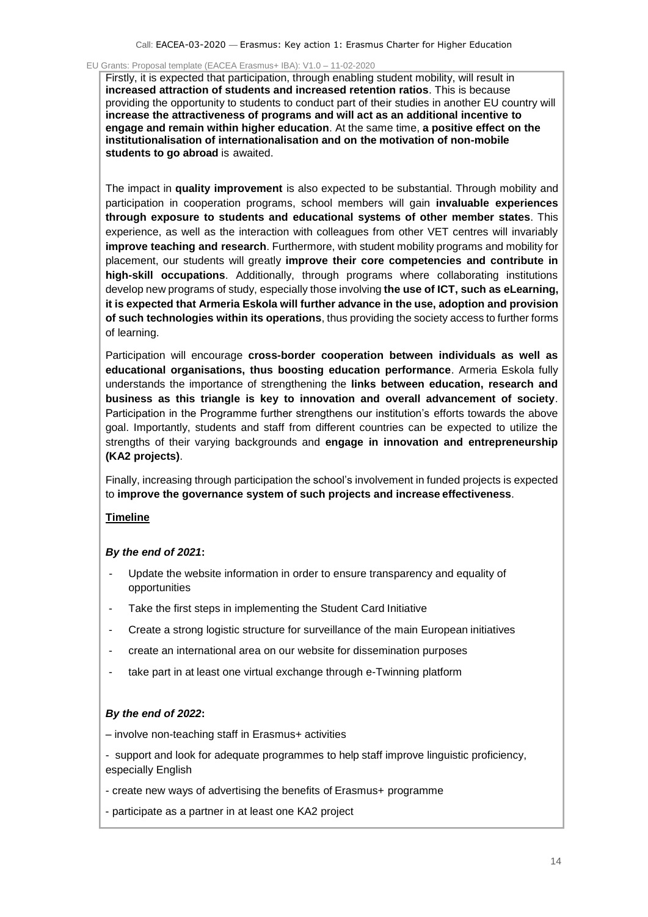Firstly, it is expected that participation, through enabling student mobility, will result in **increased attraction of students and increased retention ratios**. This is because providing the opportunity to students to conduct part of their studies in another EU country will **increase the attractiveness of programs and will act as an additional incentive to engage and remain within higher education**. At the same time, **a positive effect on the institutionalisation of internationalisation and on the motivation of non-mobile students to go abroad** is awaited.

The impact in **quality improvement** is also expected to be substantial. Through mobility and participation in cooperation programs, school members will gain **invaluable experiences through exposure to students and educational systems of other member states**. This experience, as well as the interaction with colleagues from other VET centres will invariably **improve teaching and research**. Furthermore, with student mobility programs and mobility for placement, our students will greatly **improve their core competencies and contribute in high-skill occupations**. Additionally, through programs where collaborating institutions develop new programs of study, especially those involving **the use of ICT, such as eLearning, it is expected that Armeria Eskola will further advance in the use, adoption and provision of such technologies within its operations**, thus providing the society access to further forms of learning.

Participation will encourage **cross-border cooperation between individuals as well as educational organisations, thus boosting education performance**. Armeria Eskola fully understands the importance of strengthening the **links between education, research and business as this triangle is key to innovation and overall advancement of society**. Participation in the Programme further strengthens our institution's efforts towards the above goal. Importantly, students and staff from different countries can be expected to utilize the strengths of their varying backgrounds and **engage in innovation and entrepreneurship (KA2 projects)**.

Finally, increasing through participation the school's involvement in funded projects is expected to **improve the governance system of such projects and increase effectiveness**.

#### **Timeline**

### *By the end of 2021***:**

- Update the website information in order to ensure transparency and equality of opportunities
- Take the first steps in implementing the Student Card Initiative
- Create a strong logistic structure for surveillance of the main European initiatives
- create an international area on our website for dissemination purposes
- take part in at least one virtual exchange through e-Twinning platform

### *By the end of 2022***:**

– involve non-teaching staff in Erasmus+ activities

- support and look for adequate programmes to help staff improve linguistic proficiency, especially English

- create new ways of advertising the benefits of Erasmus+ programme
- participate as a partner in at least one KA2 project